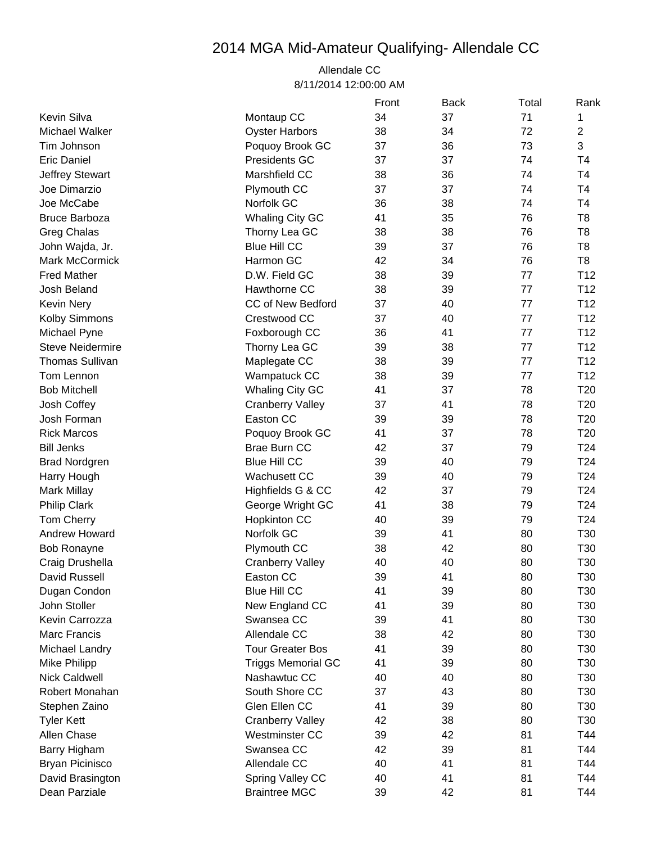## 2014 MGA Mid-Amateur Qualifying- Allendale CC

## Allendale CC 8/11/2014 12:00:00 AM

|                         |                           | Front | <b>Back</b> | Total | Rank            |
|-------------------------|---------------------------|-------|-------------|-------|-----------------|
| Kevin Silva             | Montaup CC                | 34    | 37          | 71    | 1               |
| Michael Walker          | <b>Oyster Harbors</b>     | 38    | 34          | 72    | $\overline{2}$  |
| Tim Johnson             | Poquoy Brook GC           | 37    | 36          | 73    | 3               |
| <b>Eric Daniel</b>      | Presidents GC             | 37    | 37          | 74    | T <sub>4</sub>  |
| Jeffrey Stewart         | Marshfield CC             | 38    | 36          | 74    | T <sub>4</sub>  |
| Joe Dimarzio            | Plymouth CC               | 37    | 37          | 74    | T <sub>4</sub>  |
| Joe McCabe              | Norfolk GC                | 36    | 38          | 74    | T <sub>4</sub>  |
| <b>Bruce Barboza</b>    | <b>Whaling City GC</b>    | 41    | 35          | 76    | T <sub>8</sub>  |
| <b>Greg Chalas</b>      | Thorny Lea GC             | 38    | 38          | 76    | T <sub>8</sub>  |
| John Wajda, Jr.         | <b>Blue Hill CC</b>       | 39    | 37          | 76    | T <sub>8</sub>  |
| Mark McCormick          | Harmon GC                 | 42    | 34          | 76    | T <sub>8</sub>  |
| <b>Fred Mather</b>      | D.W. Field GC             | 38    | 39          | 77    | T <sub>12</sub> |
| Josh Beland             | Hawthorne CC              | 38    | 39          | 77    | T <sub>12</sub> |
| <b>Kevin Nery</b>       | CC of New Bedford         | 37    | 40          | 77    | T <sub>12</sub> |
| Kolby Simmons           | Crestwood CC              | 37    | 40          | 77    | T <sub>12</sub> |
| Michael Pyne            | Foxborough CC             | 36    | 41          | 77    | T <sub>12</sub> |
| <b>Steve Neidermire</b> | Thorny Lea GC             | 39    | 38          | 77    | T <sub>12</sub> |
| <b>Thomas Sullivan</b>  | Maplegate CC              | 38    | 39          | 77    | T <sub>12</sub> |
| Tom Lennon              | Wampatuck CC              | 38    | 39          | 77    | T <sub>12</sub> |
| <b>Bob Mitchell</b>     | <b>Whaling City GC</b>    | 41    | 37          | 78    | T <sub>20</sub> |
| Josh Coffey             | <b>Cranberry Valley</b>   | 37    | 41          | 78    | T <sub>20</sub> |
| Josh Forman             | Easton CC                 | 39    | 39          | 78    | T <sub>20</sub> |
| <b>Rick Marcos</b>      | Poquoy Brook GC           | 41    | 37          | 78    | T <sub>20</sub> |
| <b>Bill Jenks</b>       | <b>Brae Burn CC</b>       | 42    | 37          | 79    | T24             |
| <b>Brad Nordgren</b>    | <b>Blue Hill CC</b>       | 39    | 40          | 79    | T24             |
| Harry Hough             | <b>Wachusett CC</b>       | 39    | 40          | 79    | T24             |
| <b>Mark Millay</b>      | Highfields G & CC         | 42    | 37          | 79    | T <sub>24</sub> |
| <b>Philip Clark</b>     | George Wright GC          | 41    | 38          | 79    | T24             |
| <b>Tom Cherry</b>       | <b>Hopkinton CC</b>       | 40    | 39          | 79    | T24             |
| Andrew Howard           | Norfolk GC                | 39    | 41          | 80    | T30             |
| <b>Bob Ronayne</b>      | Plymouth CC               | 38    | 42          | 80    | T30             |
| Craig Drushella         | <b>Cranberry Valley</b>   | 40    | 40          | 80    | T30             |
| David Russell           | Easton CC                 | 39    | 41          | 80    | T30             |
| Dugan Condon            | <b>Blue Hill CC</b>       | 41    | 39          | 80    | T <sub>30</sub> |
| John Stoller            | New England CC            | 41    | 39          | 80    | T30             |
| Kevin Carrozza          | Swansea CC                | 39    | 41          | 80    | T <sub>30</sub> |
| Marc Francis            | Allendale CC              | 38    | 42          | 80    | T <sub>30</sub> |
| Michael Landry          | <b>Tour Greater Bos</b>   | 41    | 39          | 80    | T30             |
| Mike Philipp            | <b>Triggs Memorial GC</b> | 41    | 39          | 80    | T <sub>30</sub> |
| <b>Nick Caldwell</b>    | Nashawtuc CC              | 40    | 40          | 80    | T <sub>30</sub> |
| Robert Monahan          | South Shore CC            | 37    | 43          | 80    | T <sub>30</sub> |
| Stephen Zaino           | Glen Ellen CC             | 41    | 39          | 80    | T <sub>30</sub> |
| <b>Tyler Kett</b>       | <b>Cranberry Valley</b>   | 42    | 38          | 80    | T <sub>30</sub> |
| Allen Chase             | Westminster CC            | 39    | 42          | 81    | T44             |
| Barry Higham            | Swansea CC                | 42    | 39          | 81    | T44             |
| <b>Bryan Picinisco</b>  | Allendale CC              | 40    | 41          | 81    | T44             |
| David Brasington        | Spring Valley CC          | 40    | 41          | 81    | T44             |
| Dean Parziale           | <b>Braintree MGC</b>      | 39    | 42          | 81    | T44             |